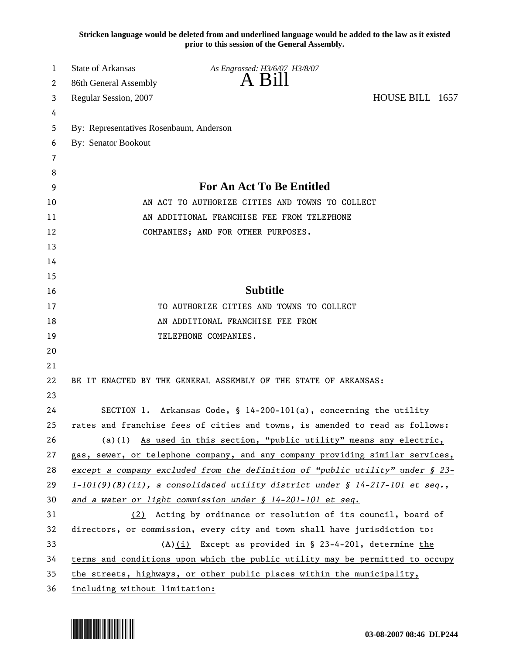**Stricken language would be deleted from and underlined language would be added to the law as it existed prior to this session of the General Assembly.**

| 1  | <b>State of Arkansas</b>                        | As Engrossed: H3/6/07 H3/8/07                                                   |                 |  |
|----|-------------------------------------------------|---------------------------------------------------------------------------------|-----------------|--|
| 2  | 86th General Assembly                           | A Bill                                                                          |                 |  |
| 3  | Regular Session, 2007                           |                                                                                 | HOUSE BILL 1657 |  |
| 4  |                                                 |                                                                                 |                 |  |
| 5  | By: Representatives Rosenbaum, Anderson         |                                                                                 |                 |  |
| 6  | <b>By: Senator Bookout</b>                      |                                                                                 |                 |  |
| 7  |                                                 |                                                                                 |                 |  |
| 8  |                                                 |                                                                                 |                 |  |
| 9  |                                                 | <b>For An Act To Be Entitled</b>                                                |                 |  |
| 10 | AN ACT TO AUTHORIZE CITIES AND TOWNS TO COLLECT |                                                                                 |                 |  |
| 11 | AN ADDITIONAL FRANCHISE FEE FROM TELEPHONE      |                                                                                 |                 |  |
| 12 |                                                 | COMPANIES; AND FOR OTHER PURPOSES.                                              |                 |  |
| 13 |                                                 |                                                                                 |                 |  |
| 14 |                                                 |                                                                                 |                 |  |
| 15 |                                                 |                                                                                 |                 |  |
| 16 |                                                 | <b>Subtitle</b>                                                                 |                 |  |
| 17 |                                                 | TO AUTHORIZE CITIES AND TOWNS TO COLLECT                                        |                 |  |
| 18 |                                                 | AN ADDITIONAL FRANCHISE FEE FROM                                                |                 |  |
| 19 |                                                 | TELEPHONE COMPANIES.                                                            |                 |  |
| 20 |                                                 |                                                                                 |                 |  |
| 21 |                                                 |                                                                                 |                 |  |
| 22 |                                                 | BE IT ENACTED BY THE GENERAL ASSEMBLY OF THE STATE OF ARKANSAS:                 |                 |  |
| 23 |                                                 |                                                                                 |                 |  |
| 24 |                                                 | SECTION 1. Arkansas Code, § 14-200-101(a), concerning the utility               |                 |  |
| 25 |                                                 | rates and franchise fees of cities and towns, is amended to read as follows:    |                 |  |
| 26 |                                                 | (a)(1) As used in this section, "public utility" means any electric,            |                 |  |
| 27 |                                                 | gas, sewer, or telephone company, and any company providing similar services,   |                 |  |
| 28 |                                                 | except a company excluded from the definition of "public utility" under § 23-   |                 |  |
| 29 |                                                 | $1-101(9)(B)(ii)$ , a consolidated utility district under § 14-217-101 et seq., |                 |  |
| 30 |                                                 | and a water or light commission under § 14-201-101 et seq.                      |                 |  |
| 31 |                                                 | (2) Acting by ordinance or resolution of its council, board of                  |                 |  |
| 32 |                                                 | directors, or commission, every city and town shall have jurisdiction to:       |                 |  |
| 33 |                                                 | $(A)(i)$ Except as provided in § 23-4-201, determine the                        |                 |  |
| 34 |                                                 | terms and conditions upon which the public utility may be permitted to occupy   |                 |  |
| 35 |                                                 | the streets, highways, or other public places within the municipality,          |                 |  |
| 36 | including without limitation:                   |                                                                                 |                 |  |

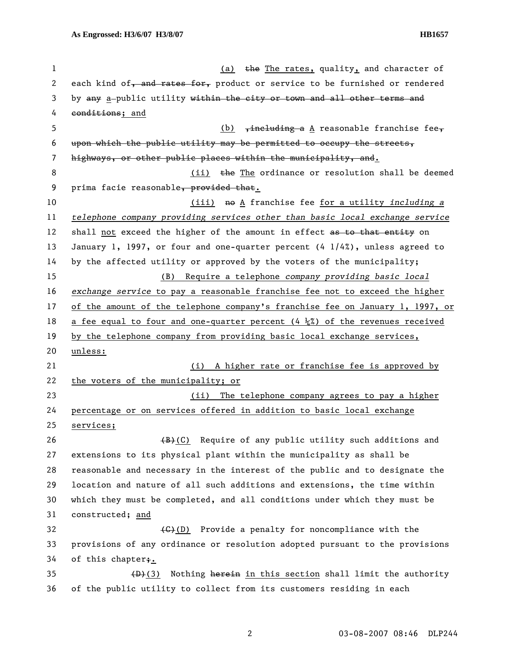| 1  | (a) the The rates, quality, and character of                                                                                                                                                                                                                                                                           |  |  |
|----|------------------------------------------------------------------------------------------------------------------------------------------------------------------------------------------------------------------------------------------------------------------------------------------------------------------------|--|--|
| 2  | each kind of, and rates for, product or service to be furnished or rendered                                                                                                                                                                                                                                            |  |  |
| 3  | by any a-public utility within the city or town and all other terms and                                                                                                                                                                                                                                                |  |  |
| 4  | conditions; and                                                                                                                                                                                                                                                                                                        |  |  |
| 5  | (b) $\frac{1}{2}$ $\frac{1}{2}$ $\frac{1}{2}$ $\frac{1}{2}$ $\frac{1}{2}$ $\frac{1}{2}$ $\frac{1}{2}$ $\frac{1}{2}$ $\frac{1}{2}$ $\frac{1}{2}$ $\frac{1}{2}$ $\frac{1}{2}$ $\frac{1}{2}$ $\frac{1}{2}$ $\frac{1}{2}$ $\frac{1}{2}$ $\frac{1}{2}$ $\frac{1}{2}$ $\frac{1}{2}$ $\frac{1}{2}$ $\frac{1}{2}$ $\frac{1}{2$ |  |  |
| 6  | upon which the public utility may be permitted to occupy the streets,                                                                                                                                                                                                                                                  |  |  |
| 7  | highways, or other public places within the municipality, and.                                                                                                                                                                                                                                                         |  |  |
| 8  | (ii) the The ordinance or resolution shall be deemed                                                                                                                                                                                                                                                                   |  |  |
| 9  | prima facie reasonable, provided that.                                                                                                                                                                                                                                                                                 |  |  |
| 10 | (iii) no A franchise fee for a utility including a                                                                                                                                                                                                                                                                     |  |  |
| 11 | telephone company providing services other than basic local exchange service                                                                                                                                                                                                                                           |  |  |
| 12 | shall not exceed the higher of the amount in effect as to that entity on                                                                                                                                                                                                                                               |  |  |
| 13 | January 1, 1997, or four and one-quarter percent $(4\ 1/4\%)$ , unless agreed to                                                                                                                                                                                                                                       |  |  |
| 14 | by the affected utility or approved by the voters of the municipality;                                                                                                                                                                                                                                                 |  |  |
| 15 | (B) Require a telephone company providing basic local                                                                                                                                                                                                                                                                  |  |  |
| 16 | exchange service to pay a reasonable franchise fee not to exceed the higher                                                                                                                                                                                                                                            |  |  |
| 17 | of the amount of the telephone company's franchise fee on January 1, 1997, or                                                                                                                                                                                                                                          |  |  |
| 18 | a fee equal to four and one-quarter percent $(4\frac{1}{4})$ of the revenues received                                                                                                                                                                                                                                  |  |  |
| 19 | by the telephone company from providing basic local exchange services,                                                                                                                                                                                                                                                 |  |  |
| 20 | unless:                                                                                                                                                                                                                                                                                                                |  |  |
| 21 | (i) A higher rate or franchise fee is approved by                                                                                                                                                                                                                                                                      |  |  |
| 22 | the voters of the municipality; or                                                                                                                                                                                                                                                                                     |  |  |
| 23 | The telephone company agrees to pay a higher<br>(ii)                                                                                                                                                                                                                                                                   |  |  |
| 24 | percentage or on services offered in addition to basic local exchange                                                                                                                                                                                                                                                  |  |  |
| 25 | services;                                                                                                                                                                                                                                                                                                              |  |  |
| 26 | (B)(C) Require of any public utility such additions and                                                                                                                                                                                                                                                                |  |  |
| 27 | extensions to its physical plant within the municipality as shall be                                                                                                                                                                                                                                                   |  |  |
| 28 | reasonable and necessary in the interest of the public and to designate the                                                                                                                                                                                                                                            |  |  |
| 29 | location and nature of all such additions and extensions, the time within                                                                                                                                                                                                                                              |  |  |
| 30 | which they must be completed, and all conditions under which they must be                                                                                                                                                                                                                                              |  |  |
| 31 | constructed; and                                                                                                                                                                                                                                                                                                       |  |  |
| 32 | $\left(\frac{1}{2}\right)$ Provide a penalty for noncompliance with the                                                                                                                                                                                                                                                |  |  |
| 33 | provisions of any ordinance or resolution adopted pursuant to the provisions                                                                                                                                                                                                                                           |  |  |
| 34 | of this chapter <sub>i</sub> .                                                                                                                                                                                                                                                                                         |  |  |
| 35 | Nothing herein in this section shall limit the authority<br>(D)(3)                                                                                                                                                                                                                                                     |  |  |
| 36 | of the public utility to collect from its customers residing in each                                                                                                                                                                                                                                                   |  |  |